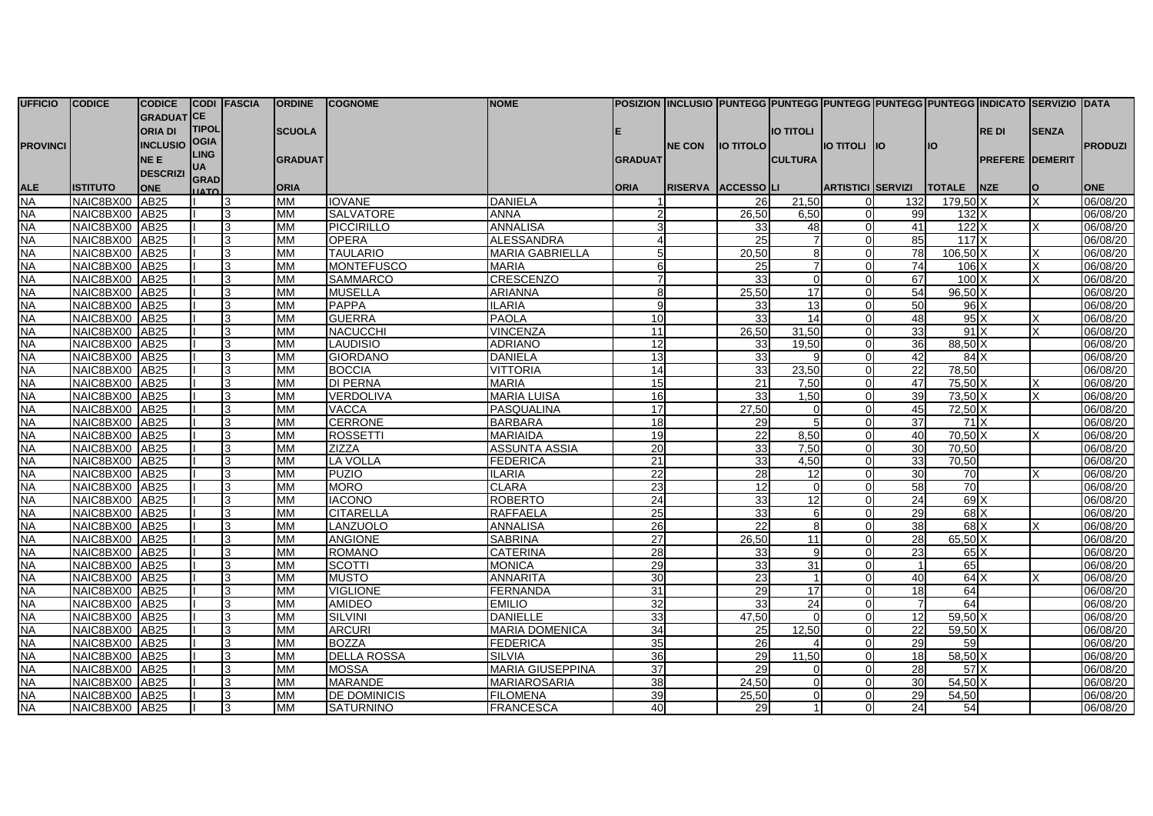| <b>UFFICIO</b>  | <b>CODICE</b>    | <b>CODICE</b>        |                | <b>CODI FASCIA</b> | <b>ORDINE</b>  | <b>COGNOME</b>      | <b>NOME</b>             |                |               | POSIZION  INCLUSIO  PUNTEGG  PUNTEGG  PUNTEGG  PUNTEGG  PUNTEGG  INDICATO  SERVIZIO  DATA |                  |                          |                 |                |                        |              |                |
|-----------------|------------------|----------------------|----------------|--------------------|----------------|---------------------|-------------------------|----------------|---------------|-------------------------------------------------------------------------------------------|------------------|--------------------------|-----------------|----------------|------------------------|--------------|----------------|
|                 |                  | <b>GRADUATICE</b>    |                |                    |                |                     |                         |                |               |                                                                                           |                  |                          |                 |                |                        |              |                |
|                 |                  | <b>ORIA DI</b>       | <b>TIPOL</b>   |                    | <b>SCUOLA</b>  |                     |                         |                |               |                                                                                           | <b>IO TITOLI</b> |                          |                 |                | <b>REDI</b>            | <b>SENZA</b> |                |
| <b>PROVINCI</b> |                  | <b>INCLUSIO</b> OGIA |                |                    |                |                     |                         |                | <b>NE CON</b> | lio τιτοιο l                                                                              |                  | <b>IO TITOLI IO</b>      |                 | lıo            |                        |              | <b>PRODUZI</b> |
|                 |                  | NE E                 | <b>LING</b>    |                    | <b>GRADUAT</b> |                     |                         | <b>GRADUAT</b> |               |                                                                                           | <b>CULTURA</b>   |                          |                 |                | <b>PREFERE DEMERIT</b> |              |                |
|                 |                  | <b>DESCRIZI</b>      | UA             |                    |                |                     |                         |                |               |                                                                                           |                  |                          |                 |                |                        |              |                |
|                 |                  |                      | GRAD           |                    |                |                     |                         |                |               |                                                                                           |                  |                          |                 |                |                        |              |                |
| <b>ALE</b>      | <b>IISTITUTO</b> | <b>ONE</b>           | $\overline{C}$ |                    | <b>ORIA</b>    |                     |                         | <b>ORIA</b>    |               | RISERVA ACCESSOLI                                                                         |                  | <b>ARTISTICI SERVIZI</b> |                 | TOTALE NZE     |                        |              | <b>ONE</b>     |
| <b>NA</b>       | NAIC8BX00        | AB25                 |                |                    | <b>MM</b>      | <b>IOVANE</b>       | <b>DANIELA</b>          |                |               | <b>26</b>                                                                                 | 21,50            | $\Omega$                 | 132             | 179.50 X       |                        |              | 06/08/20       |
| <b>NA</b>       | NAIC8BX00        | AB25                 |                | l3                 | <b>MM</b>      | <b>SALVATORE</b>    | <b>ANNA</b>             |                |               | 26,50                                                                                     | 6,50             | $\Omega$                 | 99              | 132 X          |                        |              | 06/08/20       |
| <b>NA</b>       | NAIC8BX00 AB25   |                      |                | l3                 | <b>MM</b>      | <b>PICCIRILLO</b>   | <b>ANNALISA</b>         |                |               | 33                                                                                        | 48               | $\Omega$                 | 41              | 122 X          |                        |              | 06/08/20       |
| <b>NA</b>       | NAIC8BX00 AB25   |                      |                | Iз                 | <b>MM</b>      | <b>OPERA</b>        | <b>ALESSANDRA</b>       |                |               | 25                                                                                        | $\overline{7}$   |                          | 85              | 117 X          |                        |              | 06/08/20       |
| <b>NA</b>       | NAIC8BX00 AB25   |                      |                | l3                 | <b>MM</b>      | <b>TAULARIO</b>     | <b>MARIA GABRIELLA</b>  |                |               | 20,50                                                                                     | 8                |                          | 78              | 106,50 X       |                        |              | 06/08/20       |
| NA.             | NAIC8BX00 AB25   |                      |                | l3                 | <b>MM</b>      | <b>MONTEFUSCO</b>   | <b>MARIA</b>            |                |               | 25                                                                                        |                  | $\Omega$                 | 74              | 106X           |                        |              | 06/08/20       |
| <b>NA</b>       | NAIC8BX00        | <b>AB25</b>          |                | l3                 | <b>MM</b>      | <b>SAMMARCO</b>     | <b>CRESCENZO</b>        |                |               | 33                                                                                        | $\Omega$         | $\Omega$                 | 67              | $100\text{ X}$ |                        |              | 06/08/20       |
| <b>NA</b>       | NAIC8BX00        | AB25                 |                | l3                 | <b>MM</b>      | <b>MUSELLA</b>      | ARIANNA                 |                |               | 25,50                                                                                     | 17               | $\Omega$                 | 54              | 96.50 X        |                        |              | 06/08/20       |
| <b>NA</b>       | NAIC8BX00 AB25   |                      |                | l3                 | <b>MM</b>      | <b>PAPPA</b>        | <b>ILARIA</b>           |                |               | 33                                                                                        | 13               | $\Omega$                 | 50              | $96 \times$    |                        |              | 06/08/20       |
| <b>NA</b>       | NAIC8BX00        | AB25                 |                | l3                 | <b>MM</b>      | <b>GUERRA</b>       | <b>PAOLA</b>            | 10             |               | 33                                                                                        | 14               | $\Omega$                 | 48              | 95X            |                        |              | 06/08/20       |
| <b>NA</b>       | NAIC8BX00        | AB25                 |                | Iз                 | <b>MM</b>      | <b>NACUCCHI</b>     | <b>VINCENZA</b>         | 11             |               | 26,50                                                                                     | 31.50            | $\Omega$                 | 33              | 91X            |                        |              | 06/08/20       |
| <b>NA</b>       | NAIC8BX00        | AB25                 |                | l3                 | <b>MM</b>      | <b>LAUDISIO</b>     | <b>ADRIANO</b>          | 12             |               | 33                                                                                        | 19,50            | $\Omega$                 | 36              | 88,50 X        |                        |              | 06/08/20       |
| <b>NA</b>       | NAIC8BX00 AB25   |                      |                | l3                 | <b>MM</b>      | <b>GIORDANO</b>     | <b>DANIELA</b>          | 13             |               | 33                                                                                        |                  | $\Omega$                 | 42              | 84 X           |                        |              | 06/08/20       |
| <b>NA</b>       | NAIC8BX00 AB25   |                      |                | l3                 | <b>MM</b>      | <b>BOCCIA</b>       | <b>VITTORIA</b>         | 14             |               | 33                                                                                        | 23,50            |                          | 22              | 78,50          |                        |              | 06/08/20       |
| NA.             | NAIC8BX00 AB25   |                      |                | l3                 | <b>MM</b>      | <b>DI PERNA</b>     | <b>MARIA</b>            | 15             |               | 21                                                                                        | 7.50             |                          | 47              | 75.50 X        |                        |              | 06/08/20       |
| <b>NA</b>       | NAIC8BX00        | AB25                 |                | l3                 | <b>MM</b>      | <b>VERDOLIVA</b>    | <b>MARIA LUISA</b>      | 16             |               | $\overline{33}$                                                                           | 1.50             | $\Omega$                 | 39              | 73.50 X        |                        |              | 06/08/20       |
| <b>NA</b>       | NAIC8BX00        | AB25                 |                | l3                 | <b>MM</b>      | <b>VACCA</b>        | PASQUALINA              | 17             |               | 27,50                                                                                     | ∩                | $\Omega$                 | 45              | 72.50 X        |                        |              | 06/08/20       |
| <b>NA</b>       | NAIC8BX00        | AB <sub>25</sub>     |                | l3                 | <b>MM</b>      | <b>CERRONE</b>      | <b>BARBARA</b>          | 18             |               | 29                                                                                        | 5                | $\Omega$                 | 37              | 71X            |                        |              | 06/08/20       |
| <b>NA</b>       | NAIC8BX00        | AB25                 |                | l3                 | <b>MM</b>      | <b>ROSSETTI</b>     | <b>MARIAIDA</b>         | 19             |               | 22                                                                                        | 8,50             | $\Omega$                 | 40              | 70,50 X        |                        |              | 06/08/20       |
| <b>NA</b>       | NAIC8BX00        | AB25                 |                | l3                 | <b>MM</b>      | <b>ZIZZA</b>        | <b>ASSUNTA ASSIA</b>    | 20             |               | 33                                                                                        | 7.50             | $\Omega$                 | 30 <sup>°</sup> | 70.50          |                        |              | 06/08/20       |
| <b>NA</b>       | NAIC8BX00        | AB25                 |                | l3                 | <b>MM</b>      | <b>LA VOLLA</b>     | <b>FEDERICA</b>         | 21             |               | 33                                                                                        | 4,50             | $\Omega$                 | 33              | 70.50          |                        |              | 06/08/20       |
| <b>NA</b>       | NAIC8BX00        | AB25                 |                | l3                 | <b>MM</b>      | PUZIO               | <b>ILARIA</b>           | 22             |               | 28                                                                                        | 12               | $\Omega$                 | 30 <sup>°</sup> | 70             |                        |              | 06/08/20       |
| <b>NA</b>       | NAIC8BX00 AB25   |                      |                | l3                 | <b>MM</b>      | <b>MORO</b>         | <b>CLARA</b>            | 23             |               | 12                                                                                        |                  | $\Omega$                 | 58              | 70             |                        |              | 06/08/20       |
| NA.             | NAIC8BX00 AB25   |                      |                | l3                 | <b>MM</b>      | <b>IACONO</b>       | <b>ROBERTO</b>          | 24             |               | 33                                                                                        | 12               |                          | 24              | 69X            |                        |              | 06/08/20       |
| <b>NA</b>       | NAIC8BX00 AB25   |                      |                | Iз                 | <b>MM</b>      | <b>CITARELLA</b>    | <b>RAFFAELA</b>         | 25             |               | 33                                                                                        | 6                | $\Omega$                 | 29              | 68 X           |                        |              | 06/08/20       |
| <b>NA</b>       | NAIC8BX00 AB25   |                      |                | I3                 | <b>MM</b>      | <b>LANZUOLO</b>     | <b>ANNALISA</b>         | 26             |               | 22                                                                                        | 8                | $\Omega$                 | 38              | 68 X           |                        |              | 06/08/20       |
| <b>NA</b>       | NAIC8BX00 AB25   |                      |                | l3                 | <b>MM</b>      | <b>ANGIONE</b>      | <b>SABRINA</b>          | 27             |               | 26.50                                                                                     | 11               | $\Omega$                 | 28              | 65.50 X        |                        |              | 06/08/20       |
| <b>NA</b>       | NAIC8BX00        | AB25                 |                | l3                 | <b>MM</b>      | ROMANO              | <b>CATERINA</b>         | 28             |               | 33                                                                                        | g                | $\Omega$                 | 23              | $65\text{X}$   |                        |              | 06/08/20       |
| <b>NA</b>       | NAIC8BX00        | AB25                 |                | l3                 | <b>MM</b>      | <b>SCOTTI</b>       | <b>MONICA</b>           | 29             |               | 33                                                                                        | 31               | $\Omega$                 |                 | 65             |                        |              | 06/08/20       |
| <b>NA</b>       | NAIC8BX00        | AB25                 |                | l3                 | <b>MM</b>      | <b>MUSTO</b>        | <b>ANNARITA</b>         | 30             |               | 23                                                                                        | $\vert$          | $\Omega$                 | 40              | 64X            |                        |              | 06/08/20       |
| <b>NA</b>       | NAIC8BX00        | AB25                 |                | l3                 | <b>MM</b>      | <b>VIGLIONE</b>     | <b>FERNANDA</b>         | 31             |               | 29                                                                                        | 17               | $\Omega$                 | 18              | 64             |                        |              | 06/08/20       |
| <b>NA</b>       | NAIC8BX00 AB25   |                      |                | l3                 | <b>MM</b>      | <b>AMIDEO</b>       | <b>EMILIO</b>           | 32             |               | 33                                                                                        | 24               | $\Omega$                 |                 | 64             |                        |              | 06/08/20       |
| <b>NA</b>       | NAIC8BX00 AB25   |                      |                | l3                 | <b>MM</b>      | <b>SILVINI</b>      | <b>DANIELLE</b>         | 33             |               | 47,50                                                                                     |                  |                          | 12              | 59.50 X        |                        |              | 06/08/20       |
| <b>NA</b>       | NAIC8BX00 AB25   |                      |                | l3                 | <b>MM</b>      | <b>ARCURI</b>       | <b>MARIA DOMENICA</b>   | 34             |               | 25                                                                                        | 12.50            |                          | 22              | 59.50 X        |                        |              | 06/08/20       |
| <b>NA</b>       | NAIC8BX00        | AB25                 |                | I3                 | <b>MM</b>      | <b>BOZZA</b>        | <b>FEDERICA</b>         | 35             |               | 26                                                                                        |                  | $\Omega$                 | 29              | 59             |                        |              | 06/08/20       |
| <b>NA</b>       | NAIC8BX00 AB25   |                      |                | l3                 | <b>MM</b>      | <b>DELLA ROSSA</b>  | <b>SILVIA</b>           | 36             |               | 29                                                                                        | 11.50            | $\Omega$                 | 18              | $58.50 \times$ |                        |              | 06/08/20       |
| <b>NA</b>       | NAIC8BX00 AB25   |                      |                | l3                 | <b>MM</b>      | <b>MOSSA</b>        | <b>MARIA GIUSEPPINA</b> | 37             |               | 29                                                                                        |                  | $\Omega$                 | 28              | 57X            |                        |              | 06/08/20       |
| <b>NA</b>       | NAIC8BX00        | AB25                 |                | I٩                 | <b>MM</b>      | <b>MARANDE</b>      | <b>MARIAROSARIA</b>     | 38             |               | 24.50                                                                                     |                  | $\Omega$                 | <b>30</b>       | 54.50 X        |                        |              | 06/08/20       |
| <b>NA</b>       | NAIC8BX00        | AB25                 |                | l3                 | <b>MM</b>      | <b>DE DOMINICIS</b> | <b>FILOMENA</b>         | 39             |               | 25,50                                                                                     | $\Omega$         | $\Omega$                 | 29              | 54,50          |                        |              | 06/08/20       |
| <b>NA</b>       | NAIC8BX00 AB25   |                      |                | Iз                 | <b>MM</b>      | <b>SATURNINO</b>    | <b>FRANCESCA</b>        | 40             |               | 29                                                                                        | 1 <sup>1</sup>   | $\Omega$                 | 24              | 54             |                        |              | 06/08/20       |
|                 |                  |                      |                |                    |                |                     |                         |                |               |                                                                                           |                  |                          |                 |                |                        |              |                |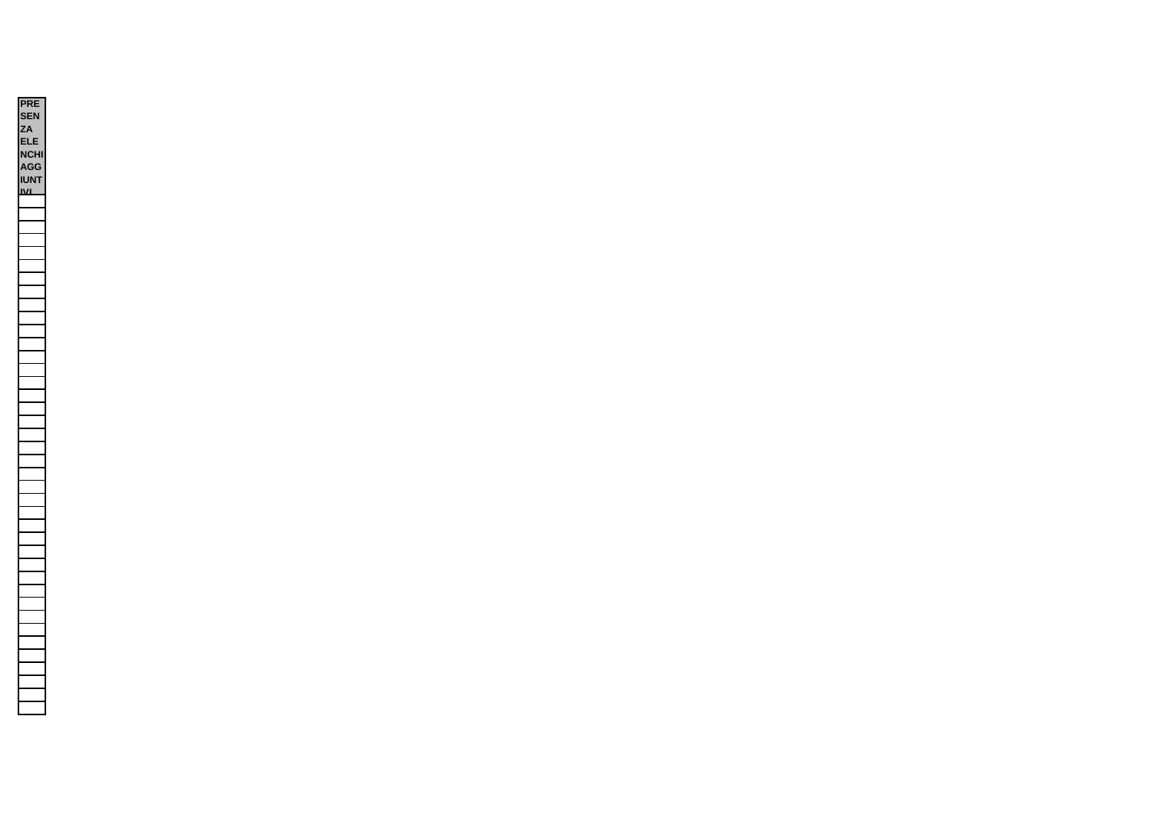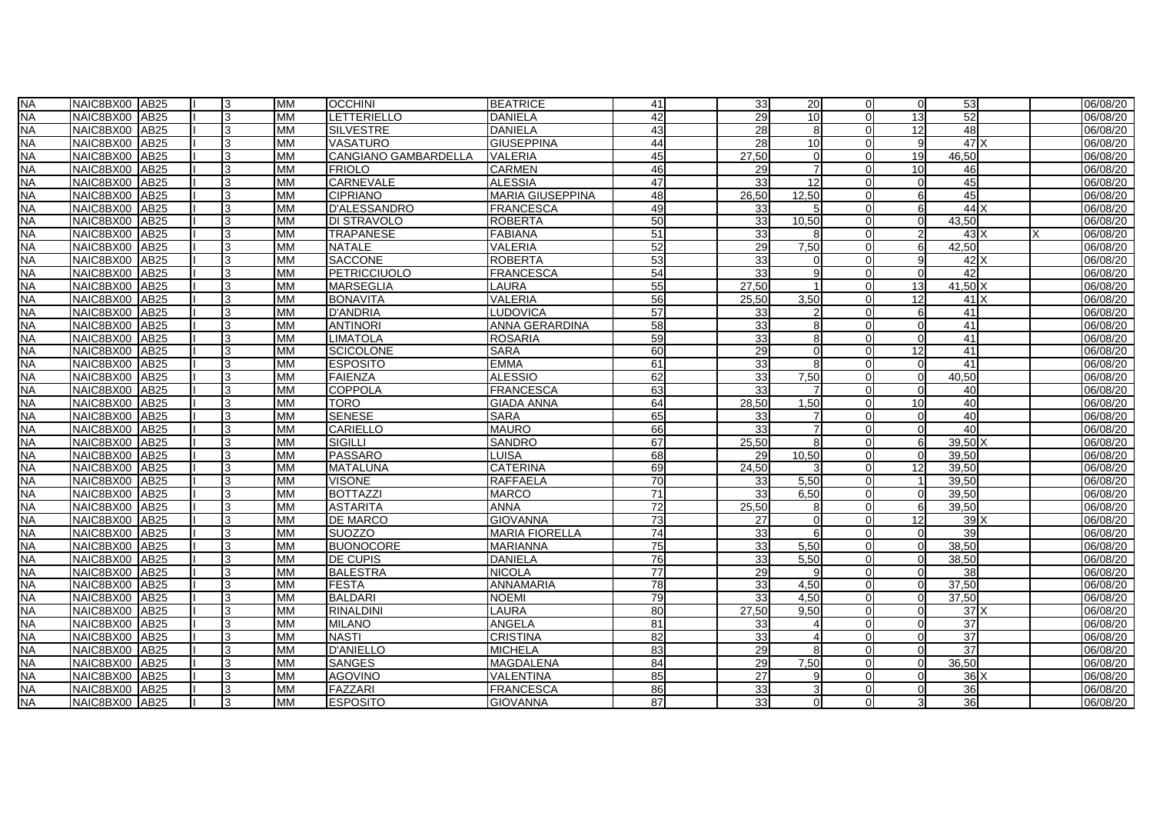| <b>NA</b> | NAIC8BX00 AB25 |             | 3  | <b>MM</b> | <b>OCCHINI</b>       | <b>BEATRICE</b>         | 41              | 33              | 20 <sup>1</sup> | $\Omega$        | 53           |    | 06/08/20 |
|-----------|----------------|-------------|----|-----------|----------------------|-------------------------|-----------------|-----------------|-----------------|-----------------|--------------|----|----------|
| <b>NA</b> | NAIC8BX00      | AB25        |    | <b>MM</b> | LETTERIELLO          | <b>DANIELA</b>          | 42              | 29              | 10 <sup>1</sup> | 13              | 52           |    | 06/08/20 |
| <b>NA</b> | NAIC8BX00      | AB25        | з  | <b>MM</b> | <b>SILVESTRE</b>     | <b>DANIELA</b>          | 43              | 28              | 8l              | 12              | 48           |    | 06/08/20 |
| <b>NA</b> | NAIC8BX00      | AB25        | l3 | <b>MM</b> | <b>VASATURO</b>      | <b>GIUSEPPINA</b>       | 44              | 28              | 10 <sup>1</sup> | $\mathbf{Q}$    | 47X          |    | 06/08/20 |
| <b>NA</b> | NAIC8BX00      | AB25        | l3 | <b>MM</b> | CANGIANO GAMBARDELLA | VALERIA                 | 45              | 27,50           | ΩI              | 19              | 46,50        |    | 06/08/20 |
| <b>NA</b> | NAIC8BX00      | AB25        | l3 | <b>MM</b> | <b>FRIOLO</b>        | <b>CARMEN</b>           | 46              | 29              |                 | 10              | 46           |    | 06/08/20 |
| <b>NA</b> | NAIC8BX00      | <b>AB25</b> |    | <b>MM</b> | <b>CARNEVALE</b>     | <b>ALESSIA</b>          | 47              | 33              | 12              |                 | 45           |    | 06/08/20 |
| <b>NA</b> | NAIC8BX00      | AB25        | 3  | <b>MM</b> | <b>CIPRIANO</b>      | <b>MARIA GIUSEPPINA</b> | 48              | 26.50           | 12.50           |                 | 45           |    | 06/08/20 |
| <b>NA</b> | NAIC8BX00      | AB25        | l3 | <b>MM</b> | <b>D'ALESSANDRO</b>  | <b>FRANCESCA</b>        | 49              | 33              |                 |                 | 44           |    | 06/08/20 |
| <b>NA</b> | NAIC8BX00      | AB25        | l3 | <b>MM</b> | <b>DI STRAVOLO</b>   | <b>ROBERTA</b>          | 50              | 33              | 10,50           | $\Omega$        | 43,50        |    | 06/08/20 |
| <b>NA</b> | NAIC8BX00      | AB25        | l3 | <b>MM</b> | <b>TRAPANESE</b>     | <b>FABIANA</b>          | 51              | 33              |                 |                 | $43\text{X}$ | X. | 06/08/20 |
| <b>NA</b> | NAIC8BX00      | AB25        | l3 | <b>MM</b> | <b>NATALE</b>        | <b>VALERIA</b>          | 52              | 29              | 7,50            | 6               | 42,50        |    | 06/08/20 |
| <b>NA</b> | NAIC8BX00      | <b>AB25</b> |    | <b>MM</b> | <b>SACCONE</b>       | <b>ROBERTA</b>          | $\overline{53}$ | $\overline{33}$ |                 |                 | 42)          |    | 06/08/20 |
| <b>NA</b> | NAIC8BX00      | AB25        | з  | <b>MM</b> | <b>PETRICCIUOLO</b>  | <b>FRANCESCA</b>        | 54              | 33              |                 |                 | 42           |    | 06/08/20 |
| <b>NA</b> | NAIC8BX00      | AB25        | ß  | <b>MM</b> | <b>MARSEGLIA</b>     | LAURA                   | 55              | 27,50           |                 | 13              | 41.50 X      |    | 06/08/20 |
| <b>NA</b> | NAIC8BX00      | AB25        | l3 | <b>MM</b> | <b>BONAVITA</b>      | <b>VALERIA</b>          | 56              | 25,50           | 3,50            | 12              | 41X          |    | 06/08/20 |
| <b>NA</b> | NAIC8BX00      | AB25        | વ  | <b>MM</b> | <b>D'ANDRIA</b>      | <b>LUDOVICA</b>         | 57              | 33              |                 |                 | 41           |    | 06/08/20 |
| <b>NA</b> | NAIC8BX00      | AB25        | l3 | <b>MM</b> | <b>ANTINORI</b>      | ANNA GERARDINA          | 58              | 33              |                 |                 | 41           |    | 06/08/20 |
| <b>NA</b> | NAIC8BX00      | AB25        | l3 | <b>MM</b> | <b>LIMATOLA</b>      | <b>ROSARIA</b>          | 59              | 33              |                 | $\Omega$        | 41           |    | 06/08/20 |
| <b>NA</b> | NAIC8BX00      | AB25        | R  | <b>MM</b> | <b>SCICOLONE</b>     | <b>SARA</b>             | 60              | 29              |                 | 12              | 41           |    | 06/08/20 |
| <b>NA</b> | NAIC8BX00      | AB25        | વ  | <b>MM</b> | <b>ESPOSITO</b>      | <b>EMMA</b>             | 61              | 33              |                 | $\Omega$        | 41           |    | 06/08/20 |
| <b>NA</b> | NAIC8BX00      | AB25        | l3 | <b>MM</b> | <b>FAIENZA</b>       | <b>ALESSIO</b>          | 62              | 33              | 7,50            | $\Omega$        | 40.50        |    | 06/08/20 |
| <b>NA</b> | NAIC8BX00      | AB25        | l3 | <b>MM</b> | <b>COPPOLA</b>       | <b>FRANCESCA</b>        | 63              | 33              |                 | $\Omega$        | 40           |    | 06/08/20 |
| <b>NA</b> | NAIC8BX00      | AB25        |    | <b>MM</b> | <b>TORO</b>          | <b>GIADA ANNA</b>       | 64              | 28.50           | 1.50            | 10 <sup>1</sup> | 40           |    | 06/08/20 |
| <b>NA</b> | NAIC8BX00      | AB25        | l3 | <b>MM</b> | <b>SENESE</b>        | SARA                    | 65              | 33              |                 | $\Omega$        | 40           |    | 06/08/20 |
| <b>NA</b> | NAIC8BX00      | AB25        | 3  | <b>MM</b> | CARIELLO             | <b>MAURO</b>            | 66              | 33              |                 | $\Omega$        | 40           |    | 06/08/20 |
| <b>NA</b> | NAIC8BX00      | AB25        |    | <b>MM</b> | SIGILLI              | SANDRO                  | 67              | 25,50           |                 | 6               | 39.50        |    | 06/08/20 |
| <b>NA</b> | NAIC8BX00      | AB25        | l٩ | <b>MM</b> | PASSARO              | LUISA                   | 68              | 29              | 10,50           | $\Omega$        | 39,50        |    | 06/08/20 |
| <b>NA</b> | NAIC8BX00      | AB25        | 3  | <b>MM</b> | <b>MATALUNA</b>      | <b>CATERINA</b>         | 69              | 24,50           |                 | 12              | 39,50        |    | 06/08/20 |
| NA.       | NAIC8BX00      | AB25        | l3 | <b>MM</b> | <b>VISONE</b>        | RAFFAELA                | 70              | 33              | 5,50            |                 | 39.50        |    | 06/08/20 |
| <b>NA</b> | NAIC8BX00      | AB25        | ٩  | <b>MM</b> | <b>BOTTAZZI</b>      | <b>MARCO</b>            | 71              | 33              | 6.50            | $\Omega$        | 39,50        |    | 06/08/20 |
| <b>NA</b> | NAIC8BX00      | AB25        | з  | <b>MM</b> | <b>ASTARITA</b>      | <b>ANNA</b>             | 72              | 25,50           |                 | 6               | 39,50        |    | 06/08/20 |
| <b>NA</b> | NAIC8BX00      | AB25        | l3 | <b>MM</b> | <b>DE MARCO</b>      | <b>GIOVANNA</b>         | 73              | 27              |                 | $\overline{12}$ | 39X          |    | 06/08/20 |
| <b>NA</b> | NAIC8BX00      | AB25        |    | <b>MM</b> | <b>SUOZZO</b>        | <b>MARIA FIORELLA</b>   | 74              | 33              |                 |                 | 39           |    | 06/08/20 |
| <b>NA</b> | NAIC8BX00      | AB25        |    | <b>MM</b> | <b>BUONOCORE</b>     | <b>MARIANNA</b>         | 75              | 33              | 5,50            |                 | 38,50        |    | 06/08/20 |
| NA.       | NAIC8BX00      | AB25        | з  | МM        | <b>DE CUPIS</b>      | <b>DANIELA</b>          | 76              | 33              | 5.50            | $\Omega$        | 38.50        |    | 06/08/20 |
| <b>NA</b> | NAIC8BX00      | AB25        | R  | <b>MM</b> | <b>BALESTRA</b>      | <b>NICOLA</b>           | 77              | 29              |                 | $\Omega$        | 38           |    | 06/08/20 |
| <b>NA</b> | NAIC8BX00      | AB25        |    | <b>MM</b> | <b>FESTA</b>         | <b>ANNAMARIA</b>        | 78              | 33              | 4,50            | $\Omega$        | 37,50        |    | 06/08/20 |
| <b>NA</b> | NAIC8BX00      | AB25        | l3 | <b>MM</b> | <b>BALDARI</b>       | <b>NOEMI</b>            | 79              | 33              | 4,50            | $\Omega$        | 37,50        |    | 06/08/20 |
| <b>NA</b> | NAIC8BX00      | <b>AB25</b> |    | <b>MM</b> | <b>RINALDINI</b>     | LAURA                   | 80              | 27,50           | 9,50            |                 | 37)          |    | 06/08/20 |
| NA.       | NAIC8BX00      | AB25        | 3  | <b>MM</b> | <b>MILANO</b>        | ANGELA                  | 81              | 33              |                 |                 | 37           |    | 06/08/20 |
| <b>NA</b> | NAIC8BX00      | AB25        | ٩  | <b>MM</b> | <b>NASTI</b>         | <b>CRISTINA</b>         | 82              | 33              |                 |                 | 37           |    | 06/08/20 |
| <b>NA</b> | NAIC8BX00      | AB25        |    | <b>MM</b> | <b>D'ANIELLO</b>     | <b>MICHELA</b>          | 83              | 29              |                 |                 | 37           |    | 06/08/20 |
| <b>NA</b> | NAIC8BX00      | AB25        | l3 | <b>MM</b> | <b>SANGES</b>        | <b>MAGDALENA</b>        | 84              | 29              | 7,50            | $\Omega$        | 36,50        |    | 06/08/20 |
| <b>NA</b> | NAIC8BX00      | AB25        | з  | <b>MM</b> | <b>AGOVINO</b>       | VALENTINA               | 85              | 27              |                 |                 | $36 \times$  |    | 06/08/20 |
| <b>NA</b> | NAIC8BX00      | <b>AB25</b> |    | <b>MM</b> | <b>FAZZARI</b>       | <b>FRANCESCA</b>        | 86              | 33              |                 |                 | 36           |    | 06/08/20 |
| <b>NA</b> | NAIC8BX00      | AB25        | IЗ | МM        | <b>ESPOSITO</b>      | <b>GIOVANNA</b>         | 87              | 33              |                 |                 | 36           |    | 06/08/20 |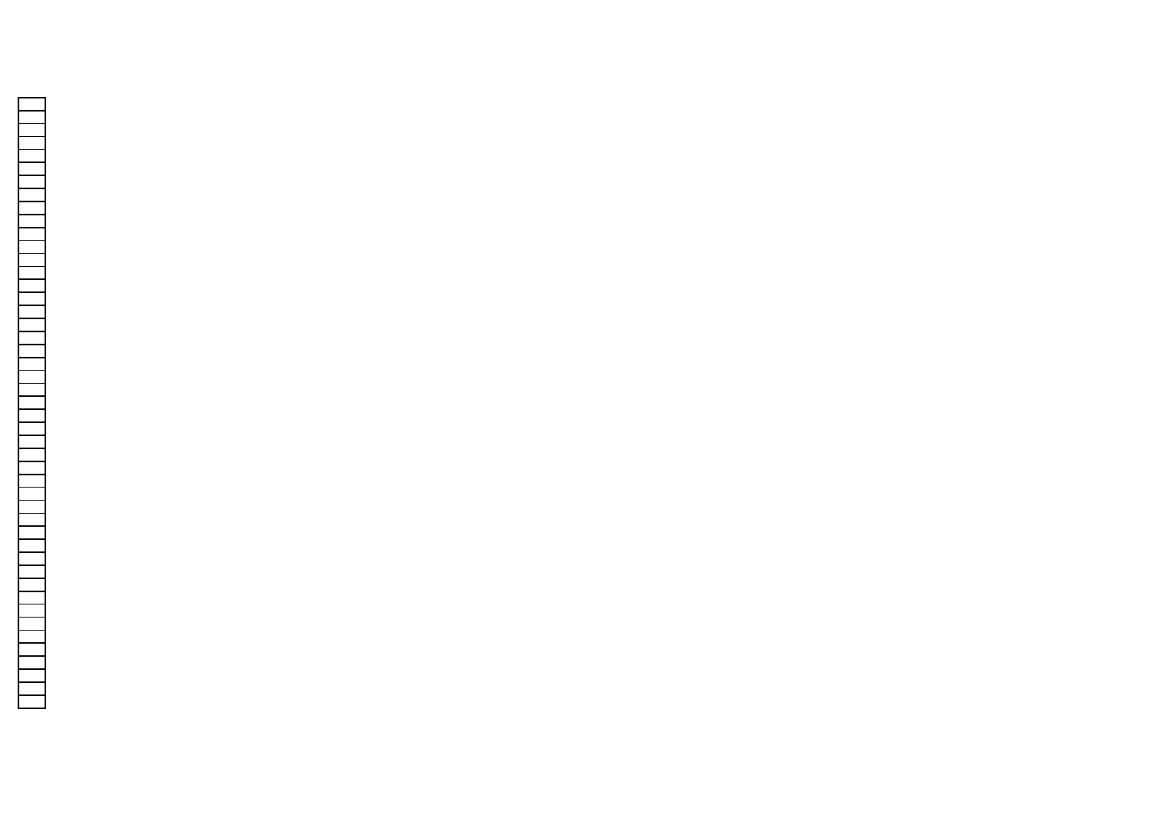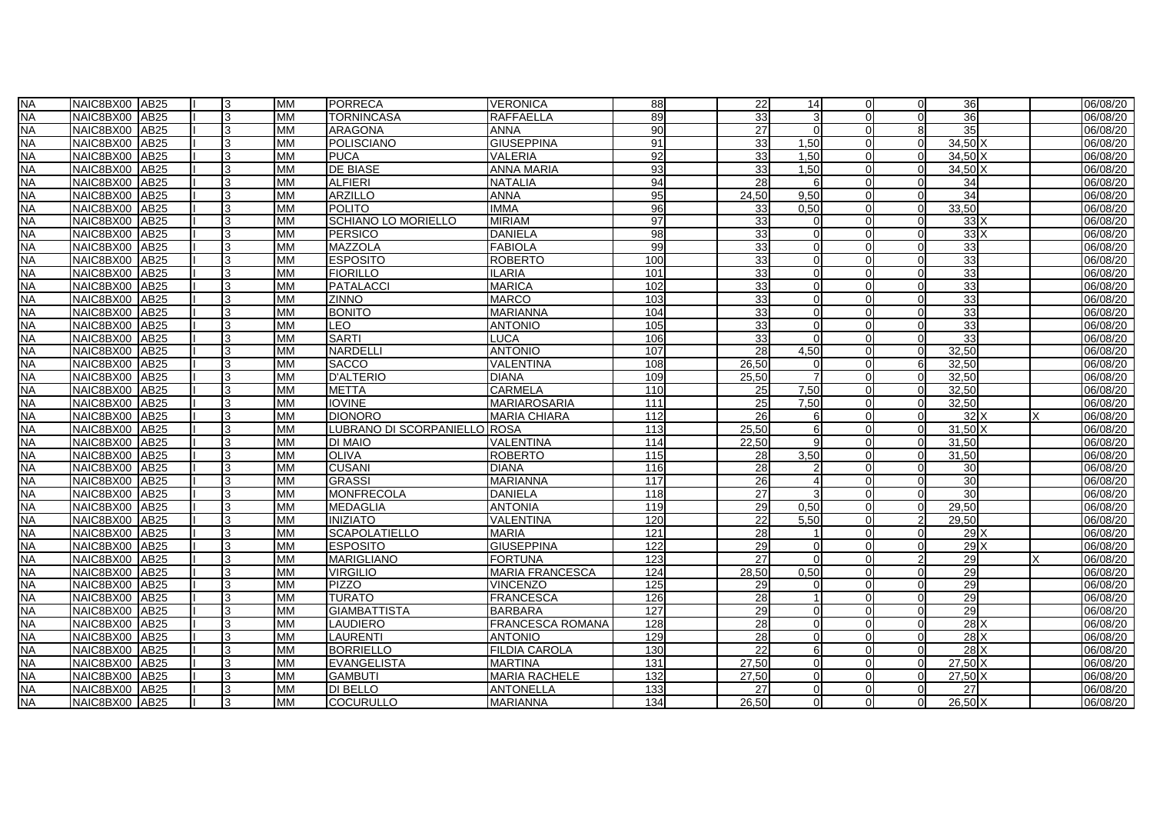| <b>NA</b> | NAIC8BX00 AB25 |             | ۱R           | <b>MM</b> | <b>PORRECA</b>               | <b>VERONICA</b>                           | 88               | 22    | 14       | $\Omega$      | 36               |   | 06/08/20 |
|-----------|----------------|-------------|--------------|-----------|------------------------------|-------------------------------------------|------------------|-------|----------|---------------|------------------|---|----------|
| <b>NA</b> | NAIC8BX00      | <b>AB25</b> |              | <b>MM</b> | TORNINCASA                   | <b>RAFFAELLA</b>                          | 89               | 33    |          |               | 36               |   | 06/08/20 |
| <b>NA</b> | NAIC8BX00      | AB25        |              | MM        | <b>ARAGONA</b>               | <b>ANNA</b>                               | 90               | 27    |          |               | 35               |   | 06/08/20 |
| <b>NA</b> | NAIC8BX00      | AB25        | ર            | <b>MM</b> | POLISCIANO                   | <b>GIUSEPPINA</b>                         | 91               | 33    | 1,50     | $\Omega$      | $34.50\times$    |   | 06/08/20 |
| <b>NA</b> | NAIC8BX00      | AB25        | R            | <b>MM</b> | <b>PUCA</b>                  | VALERIA                                   | 92               | 33    | 1,50     | $\Omega$      | 34,50 X          |   | 06/08/20 |
| <b>NA</b> | NAIC8BX00      | AB25        | R            | <b>MM</b> | <b>DE BIASE</b>              | <b>ANNA MARIA</b>                         | 93               | 33    | 1.50     | $\Omega$      | $34,50$ $\times$ |   | 06/08/20 |
| <b>NA</b> | NAIC8BX00      | AB25        |              | <b>MM</b> | <b>ALFIERI</b>               | <b>NATALIA</b>                            | 94               | 28    |          |               | 34               |   | 06/08/20 |
| <b>NA</b> | NAIC8BX00      | AB25        |              | <b>MM</b> | <b>ARZILLO</b>               | <b>ANNA</b>                               | 95               | 24,50 | 9.50     |               | 34               |   | 06/08/20 |
| <b>NA</b> | NAIC8BX00      | AB25        | ß.           | <b>MM</b> | <b>POLITO</b>                | <b>IMMA</b>                               | 96               | 33    | 0.50     | $\Omega$      | 33,50            |   | 06/08/20 |
| <b>NA</b> | NAIC8BX00      | AB25        | R            | <b>MM</b> | <b>SCHIANO LO MORIELLO</b>   | <b>MIRIAM</b>                             | 97               | 33    |          | $\Omega$      | $33 \times$      |   | 06/08/20 |
| <b>NA</b> | NAIC8BX00      | AB25        | ١R           | <b>MM</b> | <b>PERSICO</b>               | <b>IDANIELA</b>                           | 98               | 33    | $\Omega$ | $\Omega$      | 33X              |   | 06/08/20 |
| <b>NA</b> | NAIC8BX00      | AB25        | ર            | <b>MM</b> | <b>MAZZOLA</b>               | <b>FABIOLA</b>                            | 99               | 33    |          | $\Omega$      | 33               |   | 06/08/20 |
| <b>NA</b> | NAIC8BX00      | <b>AB25</b> |              | <b>MM</b> | <b>ESPOSITO</b>              | <b>ROBERTO</b>                            | 100              | 33    |          |               | $\overline{33}$  |   | 06/08/20 |
| <b>NA</b> | NAIC8BX00      | AB25        |              | <b>MM</b> | <b>FIORILLO</b>              | <b>ILARIA</b>                             | 101              | 33    |          |               | 33               |   | 06/08/20 |
| <b>NA</b> | NAIC8BX00      | AB25        | વ            | <b>MM</b> | PATALACCI                    | <b>MARICA</b>                             | 102              | 33    |          | $\Omega$      | 33               |   | 06/08/20 |
| <b>NA</b> | NAIC8BX00      | AB25        | R            | <b>MM</b> | <b>ZINNO</b>                 | <b>MARCO</b>                              | 103              | 33    |          | $\Omega$      | 33               |   | 06/08/20 |
| <b>NA</b> | NAIC8BX00      | AB25        |              | <b>MM</b> | <b>BONITO</b>                | <b>MARIANNA</b>                           | 104              | 33    |          |               | 33               |   | 06/08/20 |
| <b>NA</b> | NAIC8BX00      | AB25        |              | <b>MM</b> | LEO                          | <b>ANTONIO</b>                            | 105              | 33    |          |               | 33               |   | 06/08/20 |
| <b>NA</b> | NAIC8BX00      | AB25        |              | <b>MM</b> | <b>SARTI</b>                 | <b>LUCA</b>                               | 106              | 33    |          | $\Omega$      | 33               |   | 06/08/20 |
| <b>NA</b> | NAIC8BX00      | AB25        |              | <b>MM</b> | <b>NARDELLI</b>              | <b>ANTONIO</b>                            | 107              | 28    | 4.50     | $\Omega$      | 32,50            |   | 06/08/20 |
| <b>NA</b> | NAIC8BX00      | AB25        |              | <b>MM</b> | <b>SACCO</b>                 | <b>VALENTINA</b>                          | 108              | 26,50 |          | 6             | 32.50            |   | 06/08/20 |
| <b>NA</b> | NAIC8BX00      | AB25        | R            | <b>MM</b> | <b>D'ALTERIO</b>             | <b>DIANA</b>                              | 109              | 25,50 |          | $\Omega$      | 32.50            |   | 06/08/20 |
| <b>NA</b> | NAIC8BX00      | AB25        | ર            | <b>MM</b> | <b>METTA</b>                 | <b>CARMELA</b>                            | 110              | 25    | 7,50     | $\Omega$      | 32,50            |   | 06/08/20 |
| <b>NA</b> | NAIC8BX00      | AB25        |              | <b>MM</b> | <b>IOVINE</b>                | <b>MARIAROSARIA</b>                       | 111              | 25    | 7.50     | $\Omega$      | 32.50            |   | 06/08/20 |
|           |                |             |              |           |                              |                                           |                  |       |          |               |                  |   |          |
| <b>NA</b> | NAIC8BX00      | AB25        | ٩            | <b>MM</b> | <b>DIONORO</b>               | <b>MARIA CHIARA</b>                       | 112              | 26    | 61       | $\Omega$      | 32X              | x | 06/08/20 |
| <b>NA</b> | NAIC8BX00      | <b>AB25</b> | R            | <b>MM</b> | LUBRANO DI SCORPANIELLO ROSA |                                           | $\overline{113}$ | 25.50 | 6        | $\Omega$      | $31.50 \times$   |   | 06/08/20 |
| <b>NA</b> | NAIC8BX00      | AB25        |              | <b>MM</b> | <b>DI MAIO</b>               | VALENTINA                                 | 114              | 22,50 |          | $\Omega$      | 31.50            |   | 06/08/20 |
| <b>NA</b> | NAIC8BX00      | AB25        |              | <b>MM</b> | <b>OLIVA</b>                 | <b>ROBERTO</b>                            | 115              | 28    | 3,50     | $\Omega$      | 31,50            |   | 06/08/20 |
| <b>NA</b> | NAIC8BX00      | AB25        |              | <b>MM</b> | <b>CUSANI</b>                | <b>DIANA</b>                              | 116              | 28    |          |               | 30               |   | 06/08/20 |
| <b>NA</b> | NAIC8BX00      | AB25        | R            | <b>MM</b> | <b>GRASSI</b>                | <b>MARIANNA</b>                           | 117              | 26    |          | $\Omega$      | 30               |   | 06/08/20 |
| <b>NA</b> | NAIC8BX00      | AB25        |              | <b>MM</b> | <b>MONFRECOLA</b>            | <b>DANIELA</b>                            | $\overline{118}$ | 27    |          |               | 30               |   | 06/08/20 |
| <b>NA</b> | NAIC8BX00      | AB25        |              | <b>MM</b> | <b>MEDAGLIA</b>              | <b>ANTONIA</b>                            | 119              | 29    | 0,50     | $\Omega$      | 29,50            |   | 06/08/20 |
| <b>NA</b> | NAIC8BX00      | AB25        | R            | <b>MM</b> | <b>INIZIATO</b>              | <b>VALENTINA</b>                          | $\overline{120}$ | 22    | 5,50     | $\mathcal{P}$ | 29.50            |   | 06/08/20 |
| <b>NA</b> | NAIC8BX00      | AB25        |              | <b>MM</b> | <b>SCAPOLATIELLO</b>         | <b>MARIA</b>                              | 121              | 28    |          |               | $29$ $\times$    |   | 06/08/20 |
| <b>NA</b> | NAIC8BX00      | AB25        |              | <b>MM</b> | <b>ESPOSITO</b>              | <b>GIUSEPPINA</b>                         | 122              | 29    |          |               | 29               |   | 06/08/20 |
| <b>NA</b> | NAIC8BX00      | AB25        |              | <b>MM</b> | <b>MARIGLIANO</b>            | <b>FORTUNA</b>                            | $\overline{123}$ | 27    |          |               | 29               |   | 06/08/20 |
| <b>NA</b> | NAIC8BX00      | AB25        | વ            | <b>MM</b> | <b>VIRGILIO</b>              |                                           | 124              | 28,50 | 0.50     | ΩI            | 29               |   | 06/08/20 |
| <b>NA</b> | NAIC8BX00      | AB25        |              | <b>MM</b> | <b>PIZZO</b>                 | <b>MARIA FRANCESCA</b><br><b>VINCENZO</b> | 125              | 29    |          |               |                  |   | 06/08/20 |
| <b>NA</b> | NAIC8BX00      | AB25        | $\mathbf{z}$ | <b>MM</b> | <b>TURATO</b>                | <b>FRANCESCA</b>                          | 126              | 28    |          | $\Omega$      | 29<br>29         |   | 06/08/20 |
| <b>NA</b> | NAIC8BX00      | AB25        |              | <b>MM</b> | <b>GIAMBATTISTA</b>          | <b>BARBARA</b>                            | 127              | 29    |          |               | 29               |   | 06/08/20 |
| <b>NA</b> | NAIC8BX00      | AB25        |              | <b>MM</b> | <b>LAUDIERO</b>              | <b>FRANCESCA ROMANA</b>                   | 128              | 28    |          |               | $28$ $X$         |   | 06/08/20 |
| <b>NA</b> | NAIC8BX00      | AB25        |              | <b>MM</b> | LAURENTI                     | <b>ANTONIO</b>                            | 129              | 28    |          | $\Omega$      | 28               |   | 06/08/20 |
| <b>NA</b> | NAIC8BX00      | AB25        |              | <b>MM</b> | <b>BORRIELLO</b>             | <b>FILDIA CAROLA</b>                      | 130              | 22    |          | $\Omega$      | 28               |   | 06/08/20 |
| <b>NA</b> | NAIC8BX00      | AB25        |              | <b>MM</b> | <b>EVANGELISTA</b>           | <b>MARTINA</b>                            | 131              | 27,50 |          | $\Omega$      | $27,50$ X        |   | 06/08/20 |
| <b>NA</b> | NAIC8BX00      | AB25        |              | <b>MM</b> | <b>GAMBUTI</b>               | <b>MARIA RACHELE</b>                      | 132              | 27,50 |          | $\Omega$      | $27,50$ $\times$ |   | 06/08/20 |
| <b>NA</b> | NAIC8BX00      | AB25        |              | <b>MM</b> | <b>DI BELLO</b>              | <b>ANTONELLA</b>                          | 133              | 27    |          |               | 27               |   | 06/08/20 |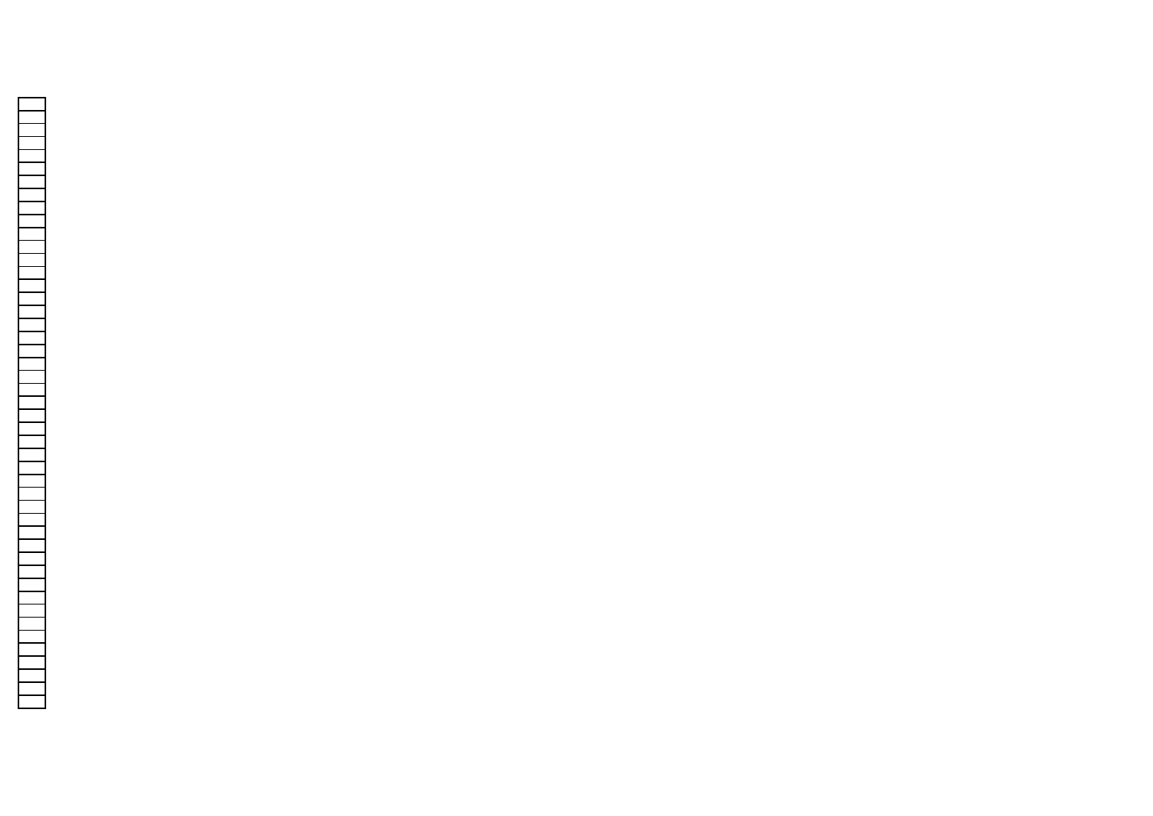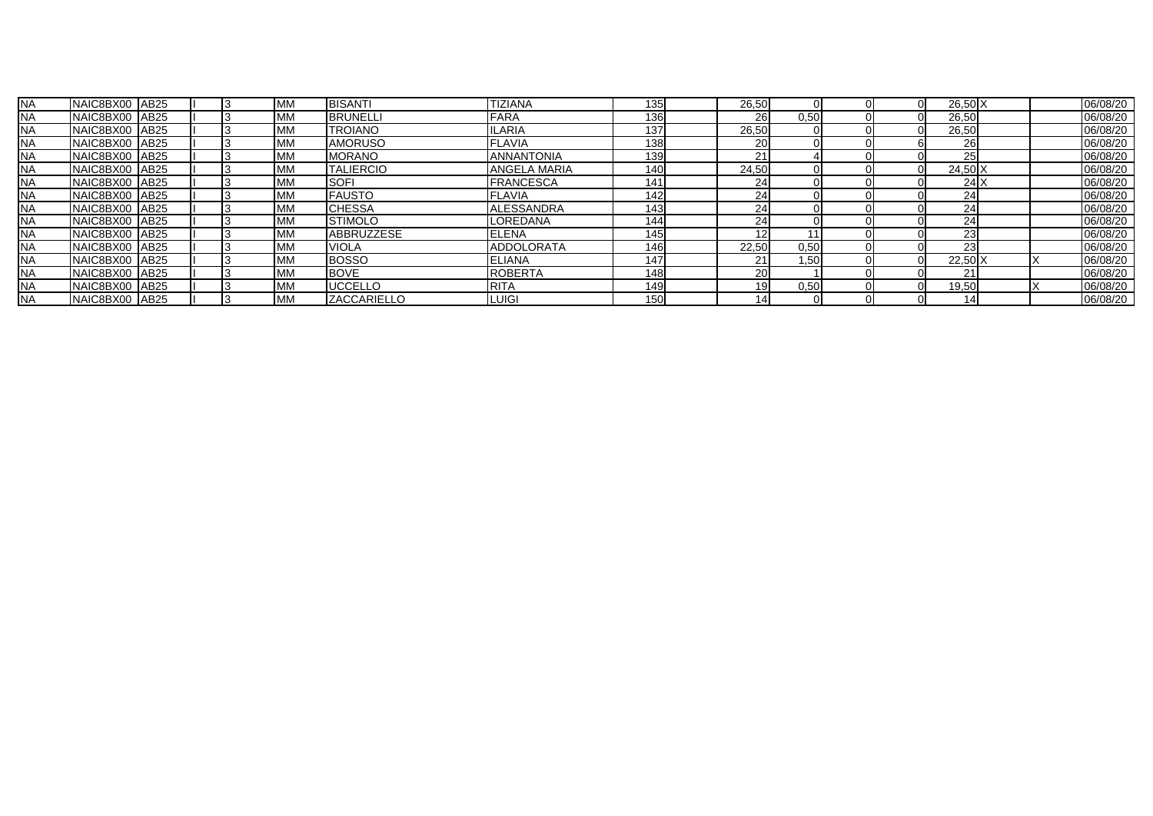| <b>INA</b> | NAIC8BX00 AB25 |  | <b>MM</b> | <b>BISANTI</b>     | <b>TIZIANA</b>      | 135 | 26,50     |                   |  | $26,50$ X       |        | 06/08/20 |
|------------|----------------|--|-----------|--------------------|---------------------|-----|-----------|-------------------|--|-----------------|--------|----------|
| <b>NA</b>  | NAIC8BX00 AB25 |  | МM        | <b>BRUNELLI</b>    | <b>FARA</b>         | 136 | 26        | 0,50              |  | 26,50           |        | 06/08/20 |
| <b>NA</b>  | NAIC8BX00 AB25 |  | MМ        | <b>TROIANO</b>     | <b>ILARIA</b>       | 137 | 26,50     |                   |  | 26,50           |        | 06/08/20 |
| <b>NA</b>  | NAIC8BX00 AB25 |  | <b>MM</b> | <b>AMORUSO</b>     | <b>FLAVIA</b>       | 138 | 20        |                   |  | 26              |        | 06/08/20 |
| <b>NA</b>  | NAIC8BX00 AB25 |  | МM        | <b>MORANO</b>      | <b>ANNANTONIA</b>   | 139 | 21        |                   |  | 25              |        | 06/08/20 |
| <b>NA</b>  | NAIC8BX00 AB25 |  | MM        | <b>TALIERCIO</b>   | <b>ANGELA MARIA</b> | 140 | 24,50     |                   |  | 24,50 X         |        | 06/08/20 |
| <b>INA</b> | NAIC8BX00 AB25 |  | <b>MM</b> | <b>SOFI</b>        | <b>FRANCESCA</b>    | 141 | 24        |                   |  | 24X             |        | 06/08/20 |
| <b>NA</b>  | NAIC8BX00 AB25 |  | МM        | <b>FAUSTO</b>      | <b>FLAVIA</b>       | 142 | 24        |                   |  | 24              |        | 06/08/20 |
| <b>INA</b> | NAIC8BX00 AB25 |  | <b>MM</b> | <b>CHESSA</b>      | <b>ALESSANDRA</b>   | 143 | 24        |                   |  | 24              |        | 06/08/20 |
| <b>NA</b>  | NAIC8BX00 AB25 |  | МM        | ISTIMOLO           | LOREDANA            | 144 | 24        |                   |  | 24              |        | 06/08/20 |
| <b>NA</b>  | NAIC8BX00 AB25 |  | <b>MM</b> | ABBRUZZESE         | <b>ELENA</b>        | 145 | 12        |                   |  | 23              |        | 06/08/20 |
| <b>NA</b>  | NAIC8BX00 AB25 |  | MM        | <b>VIOLA</b>       | ADDOLORATA          | 146 | 22,50     | 0,50              |  | 23 <sub>l</sub> |        | 06/08/20 |
| <b>INA</b> | NAIC8BX00 AB25 |  | MM        | <b>BOSSO</b>       | <b>ELIANA</b>       | 147 | 21        | 1.50 <sub>l</sub> |  | 22,50 X         | $\sim$ | 06/08/20 |
| <b>INA</b> | NAIC8BX00 AB25 |  | MМ        | <b>BOVE</b>        | <b>ROBERTA</b>      | 148 | <b>20</b> |                   |  | 21              |        | 06/08/20 |
| <b>INA</b> | NAIC8BX00 AB25 |  | MM        | <b>UCCELLO</b>     | <b>RITA</b>         | 149 | 19        | 0.50              |  | 19,50           |        | 06/08/20 |
| <b>NA</b>  | NAIC8BX00 AB25 |  | <b>MM</b> | <b>ZACCARIELLO</b> | LUIGI               | 150 | 14        |                   |  | 14              |        | 06/08/20 |